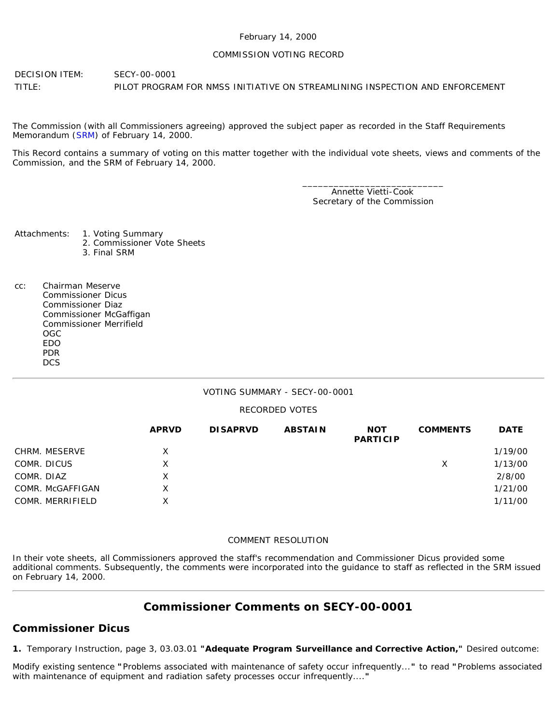#### February 14, 2000

### COMMISSION VOTING RECORD

DECISION ITEM: SECY-00-0001 TITLE: PILOT PROGRAM FOR NMSS INITIATIVE ON STREAMLINING INSPECTION AND ENFORCEMENT

The Commission (with all Commissioners agreeing) approved the subject paper as recorded in the Staff Requirements Memorandum ([SRM\)](http://www.nrc.gov/reading-rm/doc-collections/commission/srm/2000/2000-0001srm.html) of February 14, 2000.

This Record contains a summary of voting on this matter together with the individual vote sheets, views and comments of the Commission, and the SRM of February 14, 2000.

> \_\_\_\_\_\_\_\_\_\_\_\_\_\_\_\_\_\_\_\_\_\_\_\_\_\_\_ Annette Vietti-Cook Secretary of the Commission

Attachments: 1. Voting Summary

- 2. Commissioner Vote Sheets
- 3. Final SRM
- cc: Chairman Meserve Commissioner Dicus Commissioner Diaz Commissioner McGaffigan Commissioner Merrifield OGC EDO PDR **DCS**

## VOTING SUMMARY - SECY-00-0001

## RECORDED VOTES

|                  | <b>APRVD</b> | <b>DISAPRVD</b> | <b>ABSTAIN</b> | <b>NOT</b><br><b>PARTICIP</b> | <b>COMMENTS</b> | <b>DATE</b> |
|------------------|--------------|-----------------|----------------|-------------------------------|-----------------|-------------|
| CHRM. MESERVE    | X.           |                 |                |                               |                 | 1/19/00     |
| COMR. DICUS      | x            |                 |                |                               | Х               | 1/13/00     |
| COMR. DIAZ       | X            |                 |                |                               |                 | 2/8/00      |
| COMR. McGAFFIGAN | X.           |                 |                |                               |                 | 1/21/00     |
| COMR. MERRIFIELD | x            |                 |                |                               |                 | 1/11/00     |

#### COMMENT RESOLUTION

In their vote sheets, all Commissioners approved the staff's recommendation and Commissioner Dicus provided some additional comments. Subsequently, the comments were incorporated into the guidance to staff as reflected in the SRM issued on February 14, 2000.

# **Commissioner Comments on [SECY-00-0001](http://www.nrc.gov/reading-rm/doc-collections/commission/secys/2000/secy2000-0001/2000-0001scy.html)**

## **Commissioner Dicus**

*1.* Temporary Instruction, page 3, 03.03.01 *"Adequate Program Surveillance and Corrective Action,"* Desired outcome:

Modify existing sentence *"*Problems associated with maintenance of safety occur infrequently...*"* to read *"*Problems associated with maintenance of equipment and radiation safety processes occur infrequently....*"*